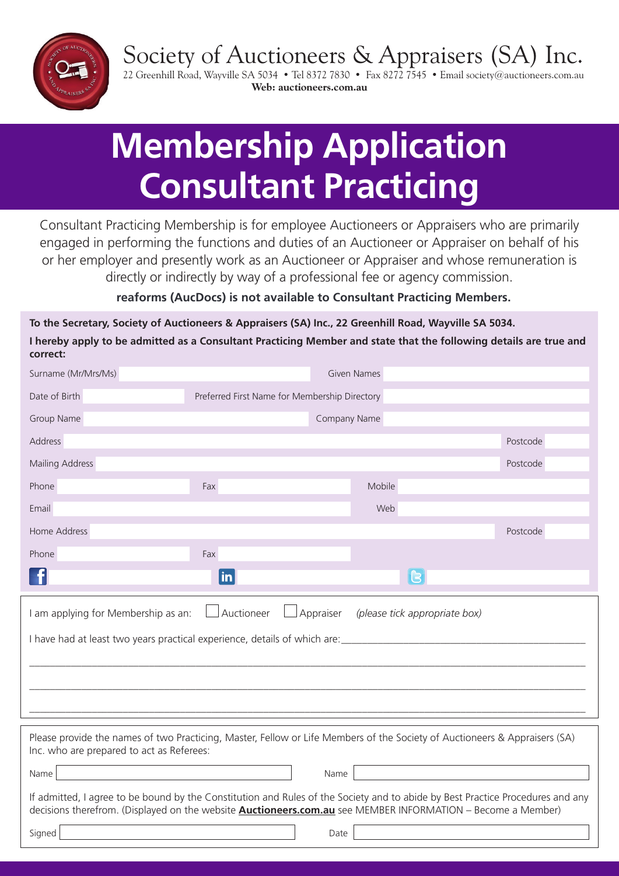Society of Auctioneers & Appraisers (SA) Inc.



22 Greenhill Road, Wayville SA 5034 • Tel 8372 7830 • Fax 8272 7545 • Email society@auctioneers.com.au **Web: auctioneers.com.au**

# **Membership Application Consultant Practicing**

Consultant Practicing Membership is for employee Auctioneers or Appraisers who are primarily engaged in performing the functions and duties of an Auctioneer or Appraiser on behalf of his or her employer and presently work as an Auctioneer or Appraiser and whose remuneration is directly or indirectly by way of a professional fee or agency commission.

#### **reaforms (AucDocs) is not available to Consultant Practicing Members.**

**To the Secretary, Society of Auctioneers & Appraisers (SA) Inc., 22 Greenhill Road, Wayville SA 5034. I hereby apply to be admitted as a Consultant Practicing Member and state that the following details are true and correct:**

| Surname (Mr/Mrs/Ms)                                                                                                                                                                                                                                  |                                               | Given Names  |          |  |
|------------------------------------------------------------------------------------------------------------------------------------------------------------------------------------------------------------------------------------------------------|-----------------------------------------------|--------------|----------|--|
| Date of Birth                                                                                                                                                                                                                                        | Preferred First Name for Membership Directory |              |          |  |
| Group Name                                                                                                                                                                                                                                           |                                               | Company Name |          |  |
| <b>Address</b>                                                                                                                                                                                                                                       |                                               |              | Postcode |  |
| Mailing Address                                                                                                                                                                                                                                      |                                               |              | Postcode |  |
| Phone                                                                                                                                                                                                                                                | Fax                                           | Mobile       |          |  |
| Email                                                                                                                                                                                                                                                |                                               | Web          |          |  |
| Home Address                                                                                                                                                                                                                                         |                                               |              | Postcode |  |
| Phone                                                                                                                                                                                                                                                | Fax                                           |              |          |  |
|                                                                                                                                                                                                                                                      | $\mathsf{lin}$                                |              | G        |  |
| Auctioneer<br>Appraiser<br>I am applying for Membership as an:<br>(please tick appropriate box)                                                                                                                                                      |                                               |              |          |  |
|                                                                                                                                                                                                                                                      |                                               |              |          |  |
| Please provide the names of two Practicing, Master, Fellow or Life Members of the Society of Auctioneers & Appraisers (SA)<br>Inc. who are prepared to act as Referees:                                                                              |                                               |              |          |  |
| <u> 1980 - Johann Barn, mars an t-Amerikaansk kommunist (</u><br>Name                                                                                                                                                                                |                                               | Name         |          |  |
| If admitted, I agree to be bound by the Constitution and Rules of the Society and to abide by Best Practice Procedures and any<br>decisions therefrom. (Displayed on the website <b>Auctioneers.com.au</b> see MEMBER INFORMATION - Become a Member) |                                               |              |          |  |
| Signed                                                                                                                                                                                                                                               |                                               | Date         |          |  |